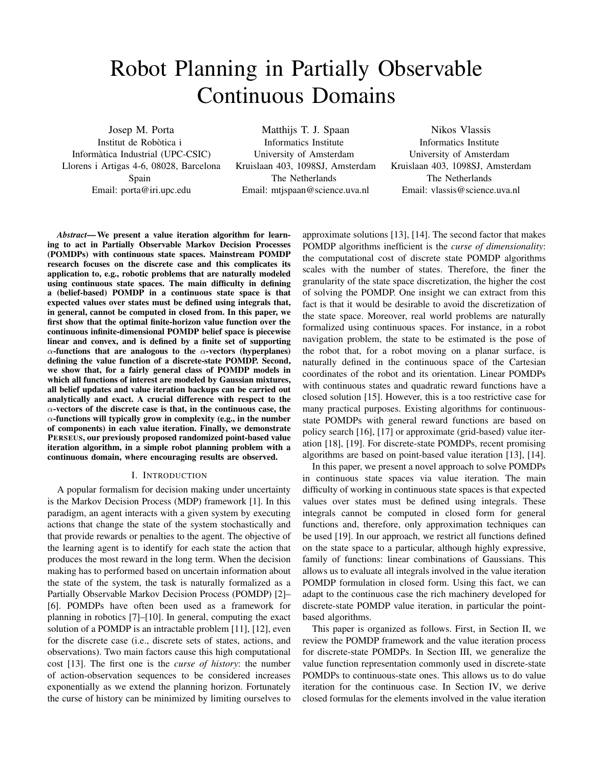# Robot Planning in Partially Observable Continuous Domains

Josep M. Porta

Institut de Robòtica i Informàtica Industrial (UPC-CSIC) Llorens i Artigas 4-6, 08028, Barcelona Spain Email: porta@iri.upc.edu

Matthijs T. J. Spaan Informatics Institute University of Amsterdam Kruislaan 403, 1098SJ, Amsterdam The Netherlands Email: mtjspaan@science.uva.nl

Nikos Vlassis Informatics Institute University of Amsterdam Kruislaan 403, 1098SJ, Amsterdam The Netherlands Email: vlassis@science.uva.nl

*Abstract***—We present a value iteration algorithm for learning to act in Partially Observable Markov Decision Processes (POMDPs) with continuous state spaces. Mainstream POMDP research focuses on the discrete case and this complicates its application to, e.g., robotic problems that are naturally modeled using continuous state spaces. The main difficulty in defining a (belief-based) POMDP in a continuous state space is that expected values over states must be defined using integrals that, in general, cannot be computed in closed from. In this paper, we first show that the optimal finite-horizon value function over the continuous infinite-dimensional POMDP belief space is piecewise linear and convex, and is defined by a finite set of supporting** α**-functions that are analogous to the** α**-vectors (hyperplanes) defining the value function of a discrete-state POMDP. Second, we show that, for a fairly general class of POMDP models in which all functions of interest are modeled by Gaussian mixtures, all belief updates and value iteration backups can be carried out analytically and exact. A crucial difference with respect to the** α**-vectors of the discrete case is that, in the continuous case, the** α**-functions will typically grow in complexity (e.g., in the number of components) in each value iteration. Finally, we demonstrate PERSEUS, our previously proposed randomized point-based value iteration algorithm, in a simple robot planning problem with a continuous domain, where encouraging results are observed.**

## I. INTRODUCTION

A popular formalism for decision making under uncertainty is the Markov Decision Process (MDP) framework [1]. In this paradigm, an agent interacts with a given system by executing actions that change the state of the system stochastically and that provide rewards or penalties to the agent. The objective of the learning agent is to identify for each state the action that produces the most reward in the long term. When the decision making has to performed based on uncertain information about the state of the system, the task is naturally formalized as a Partially Observable Markov Decision Process (POMDP) [2]– [6]. POMDPs have often been used as a framework for planning in robotics [7]–[10]. In general, computing the exact solution of a POMDP is an intractable problem [11], [12], even for the discrete case (i.e., discrete sets of states, actions, and observations). Two main factors cause this high computational cost [13]. The first one is the *curse of history*: the number of action-observation sequences to be considered increases exponentially as we extend the planning horizon. Fortunately the curse of history can be minimized by limiting ourselves to approximate solutions [13], [14]. The second factor that makes POMDP algorithms inefficient is the *curse of dimensionality*: the computational cost of discrete state POMDP algorithms scales with the number of states. Therefore, the finer the granularity of the state space discretization, the higher the cost of solving the POMDP. One insight we can extract from this fact is that it would be desirable to avoid the discretization of the state space. Moreover, real world problems are naturally formalized using continuous spaces. For instance, in a robot navigation problem, the state to be estimated is the pose of the robot that, for a robot moving on a planar surface, is naturally defined in the continuous space of the Cartesian coordinates of the robot and its orientation. Linear POMDPs with continuous states and quadratic reward functions have a closed solution [15]. However, this is a too restrictive case for many practical purposes. Existing algorithms for continuousstate POMDPs with general reward functions are based on policy search [16], [17] or approximate (grid-based) value iteration [18], [19]. For discrete-state POMDPs, recent promising algorithms are based on point-based value iteration [13], [14].

In this paper, we present a novel approach to solve POMDPs in continuous state spaces via value iteration. The main difficulty of working in continuous state spaces is that expected values over states must be defined using integrals. These integrals cannot be computed in closed form for general functions and, therefore, only approximation techniques can be used [19]. In our approach, we restrict all functions defined on the state space to a particular, although highly expressive, family of functions: linear combinations of Gaussians. This allows us to evaluate all integrals involved in the value iteration POMDP formulation in closed form. Using this fact, we can adapt to the continuous case the rich machinery developed for discrete-state POMDP value iteration, in particular the pointbased algorithms.

This paper is organized as follows. First, in Section II, we review the POMDP framework and the value iteration process for discrete-state POMDPs. In Section III, we generalize the value function representation commonly used in discrete-state POMDPs to continuous-state ones. This allows us to do value iteration for the continuous case. In Section IV, we derive closed formulas for the elements involved in the value iteration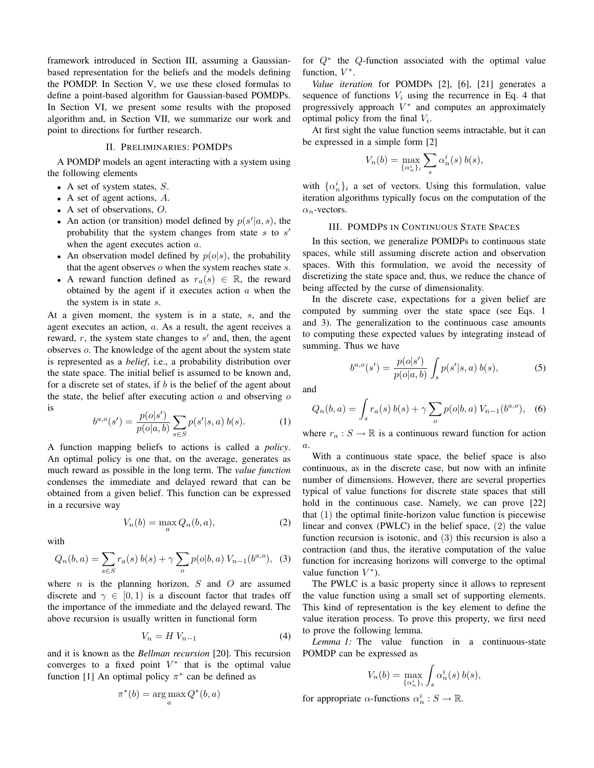framework introduced in Section III, assuming a Gaussianbased representation for the beliefs and the models defining the POMDP. In Section V, we use these closed formulas to define a point-based algorithm for Gaussian-based POMDPs. In Section VI, we present some results with the proposed algorithm and, in Section VII, we summarize our work and point to directions for further research.

## II. PRELIMINARIES: POMDPS

A POMDP models an agent interacting with a system using the following elements

- A set of system states,  $S$ .
- A set of agent actions, A.
- A set of observations, O.
- An action (or transition) model defined by  $p(s'|a, s)$ , the probability that the system changes from state  $s$  to  $s'$ when the agent executes action  $a$ .
- An observation model defined by  $p(o|s)$ , the probability that the agent observes  $o$  when the system reaches state  $s$ .
- A reward function defined as  $r_a(s) \in \mathbb{R}$ , the reward obtained by the agent if it executes action  $a$  when the the system is in state s.

At a given moment, the system is in a state, s, and the agent executes an action, a. As a result, the agent receives a reward,  $r$ , the system state changes to  $s'$  and, then, the agent observes o. The knowledge of the agent about the system state is represented as a *belief*, i.e., a probability distribution over the state space. The initial belief is assumed to be known and, for a discrete set of states, if  $b$  is the belief of the agent about the state, the belief after executing action  $\alpha$  and observing  $\alpha$ is

$$
b^{a,o}(s') = \frac{p(o|s')}{p(o|a,b)} \sum_{s \in S} p(s'|s,a) b(s).
$$
 (1)

A function mapping beliefs to actions is called a *policy*. An optimal policy is one that, on the average, generates as much reward as possible in the long term. The *value function* condenses the immediate and delayed reward that can be obtained from a given belief. This function can be expressed in a recursive way

$$
V_n(b) = \max_a Q_n(b, a), \tag{2}
$$

with

$$
Q_n(b, a) = \sum_{s \in S} r_a(s) b(s) + \gamma \sum_o p(o|b, a) V_{n-1}(b^{a, o}), \quad (3)
$$

where  $n$  is the planning horizon,  $S$  and  $O$  are assumed discrete and  $\gamma \in [0, 1)$  is a discount factor that trades off the importance of the immediate and the delayed reward. The above recursion is usually written in functional form

$$
V_n = H V_{n-1} \tag{4}
$$

and it is known as the *Bellman recursion* [20]. This recursion converges to a fixed point  $V^*$  that is the optimal value function [1] An optimal policy  $\pi^*$  can be defined as

$$
\pi^*(b) = \arg\max_a Q^*(b, a)
$$

for Q<sup>∗</sup> the Q-function associated with the optimal value function,  $V^*$ .

*Value iteration* for POMDPs [2], [6], [21] generates a sequence of functions  $V_i$  using the recurrence in Eq. 4 that progressively approach  $V^*$  and computes an approximately optimal policy from the final  $V_i$ .

At first sight the value function seems intractable, but it can be expressed in a simple form [2]

$$
V_n(b) = \max_{\{\alpha_n^i\}_i} \sum_s \alpha_n^i(s) b(s),
$$

with  $\{\alpha_n^i\}_i$  a set of vectors. Using this formulation, value iteration algorithms typically focus on the computation of the  $\alpha_n$ -vectors.

# III. POMDPS IN CONTINUOUS STATE SPACES

In this section, we generalize POMDPs to continuous state spaces, while still assuming discrete action and observation spaces. With this formulation, we avoid the necessity of discretizing the state space and, thus, we reduce the chance of being affected by the curse of dimensionality.

In the discrete case, expectations for a given belief are computed by summing over the state space (see Eqs. 1 and 3). The generalization to the continuous case amounts to computing these expected values by integrating instead of summing. Thus we have

$$
b^{a,o}(s') = \frac{p(o|s')}{p(o|a,b)} \int_s p(s'|s,a) b(s), \tag{5}
$$

and

$$
Q_n(b,a) = \int_s r_a(s) b(s) + \gamma \sum_o p(o|b,a) V_{n-1}(b^{a,o}), \quad (6)
$$

where  $r_a : S \to \mathbb{R}$  is a continuous reward function for action  $\overline{a}$ .

With a continuous state space, the belief space is also continuous, as in the discrete case, but now with an infinite number of dimensions. However, there are several properties typical of value functions for discrete state spaces that still hold in the continuous case. Namely, we can prove [22] that (1) the optimal finite-horizon value function is piecewise linear and convex (PWLC) in the belief space, (2) the value function recursion is isotonic, and (3) this recursion is also a contraction (and thus, the iterative computation of the value function for increasing horizons will converge to the optimal value function  $V^*$ ).

The PWLC is a basic property since it allows to represent the value function using a small set of supporting elements. This kind of representation is the key element to define the value iteration process. To prove this property, we first need to prove the following lemma.

*Lemma 1:* The value function in a continuous-state POMDP can be expressed as

$$
V_n(b) = \max_{\{\alpha_n^i\}_i} \int_s \alpha_n^i(s) b(s),
$$

for appropriate  $\alpha$ -functions  $\alpha_n^i : S \to \mathbb{R}$ .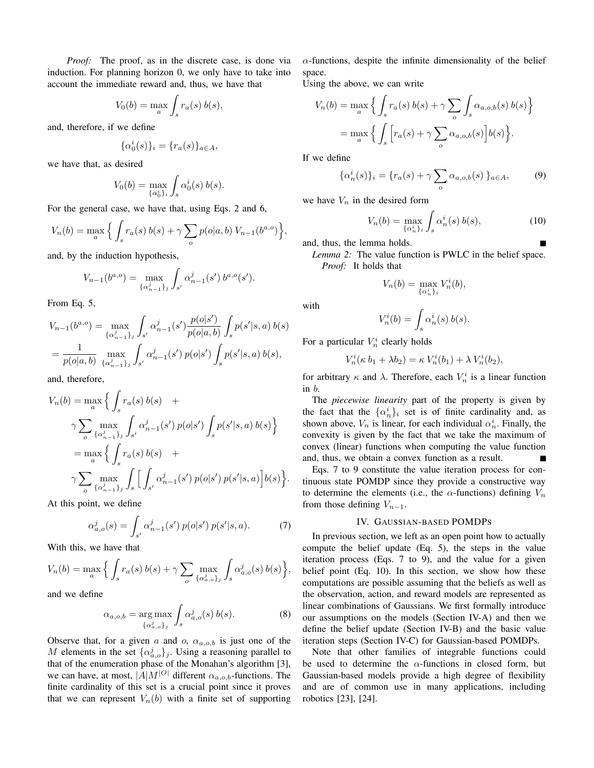*Proof:* The proof, as in the discrete case, is done via induction. For planning horizon 0, we only have to take into account the immediate reward and, thus, we have that

$$
V_0(b) = \max_a \int_s r_a(s) b(s),
$$

and, therefore, if we define

$$
\{\alpha_0^i(s)\}_i = \{r_a(s)\}_{a \in A},
$$

we have that, as desired

$$
V_0(b) = \max_{\{\alpha_0^i\}_i} \int_s \alpha_0^i(s) b(s).
$$

For the general case, we have that, using Eqs. 2 and 6,

$$
V_n(b) = \max_{a} \left\{ \int_s r_a(s) b(s) + \gamma \sum_o p(o|a, b) V_{n-1}(b^{a, o}) \right\},\,
$$

and, by the induction hypothesis,

$$
V_{n-1}(b^{a,o}) = \max_{\{\alpha_{n-1}^j\}_j} \int_{s'} \alpha_{n-1}^j(s') b^{a,o}(s').
$$

From Eq. 5,

$$
V_{n-1}(b^{a,o}) = \max_{\{\alpha_{n-1}^j\}_j} \int_{s'} \alpha_{n-1}^j(s') \frac{p(o|s')}{p(o|a,b)} \int_s p(s'|s,a) b(s)
$$
  
= 
$$
\frac{1}{p(o|a,b)} \max_{\{\alpha_{n-1}^j\}_j} \int_{s'} \alpha_{n-1}^j(s') p(o|s') \int_s p(s'|s,a) b(s),
$$

and, therefore,

$$
V_n(b) = \max_{a} \left\{ \int_s r_a(s) b(s) + \gamma \sum_{o} \max_{\{\alpha_{n-1}^j\}_j} \int_{s'} \alpha_{n-1}^j(s') p(o|s') \int_s p(s'|s, a) b(s) \right\}
$$
  
= 
$$
\max_{a} \left\{ \int_s r_a(s) b(s) + \gamma \sum_{o} \max_{\{\alpha_{n-1}^j\}_j} \int_s \left[ \int_{s'} \alpha_{n-1}^j(s') p(o|s') p(s'|s, a) \right] b(s) \right\}.
$$

At this point, we define

$$
\alpha_{a,o}^j(s) = \int_{s'} \alpha_{n-1}^j(s') \, p(o|s') \, p(s'|s,a). \tag{7}
$$

With this, we have that

$$
V_n(b) = \max_a \Big\{ \int_s r_a(s) b(s) + \gamma \sum_o \max_{\{\alpha^j_{a,o}\}_j} \int_s \alpha^j_{a,o}(s) b(s) \Big\},\,
$$

and we define

$$
\alpha_{a,o,b} = \underset{\{\alpha_{a,o}^j\}_j}{\arg \max} \int_s \alpha_{a,o}^j(s) b(s). \tag{8}
$$

Observe that, for a given a and o,  $\alpha_{a,o,b}$  is just one of the M elements in the set  $\{\alpha_{a,o}^j\}_j$ . Using a reasoning parallel to that of the enumeration phase of the Monahan's algorithm [3], we can have, at most,  $|A|M|^{O}$  different  $\alpha_{a,o,b}$ -functions. The finite cardinality of this set is a crucial point since it proves that we can represent  $V_n(b)$  with a finite set of supporting  $\alpha$ -functions, despite the infinite dimensionality of the belief space.

Using the above, we can write

$$
V_n(b) = \max_a \Big\{ \int_s r_a(s) b(s) + \gamma \sum_o \int_s \alpha_{a,o,b}(s) b(s) \Big\}
$$
  
= 
$$
\max_a \Big\{ \int_s \Big[ r_a(s) + \gamma \sum_o \alpha_{a,o,b}(s) \Big] b(s) \Big\}.
$$

If we define

$$
\{\alpha_n^i(s)\}_i = \{r_a(s) + \gamma \sum_o \alpha_{a,o,b}(s)\}_{{a \in A}},\tag{9}
$$

we have  $V_n$  in the desired form

$$
V_n(b) = \max_{\{\alpha_n^i\}_i} \int_s \alpha_n^i(s) \, b(s), \tag{10}
$$

and, thus, the lemma holds.

*Lemma 2:* The value function is PWLC in the belief space. *Proof:* It holds that

$$
V_n(b) = \max_{\{\alpha_n^i\}_i} V_n^i(b),
$$

with

$$
V_n^i(b) = \int_s \alpha_n^i(s) b(s).
$$

For a particular  $V_n^i$  clearly holds

$$
V_n^i(\kappa b_1 + \lambda b_2) = \kappa V_n^i(b_1) + \lambda V_n^i(b_2),
$$

for arbitrary  $\kappa$  and  $\lambda$ . Therefore, each  $V_n^i$  is a linear function in b.

The *piecewise linearity* part of the property is given by the fact that the  $\{\alpha_n^i\}_i$  set is of finite cardinality and, as shown above,  $V_n$  is linear, for each individual  $\alpha_n^i$ . Finally, the convexity is given by the fact that we take the maximum of convex (linear) functions when computing the value function and, thus, we obtain a convex function as a result.

Eqs. 7 to 9 constitute the value iteration process for continuous state POMDP since they provide a constructive way to determine the elements (i.e., the  $\alpha$ -functions) defining  $V_n$ from those defining  $V_{n-1}$ .

# IV. GAUSSIAN-BASED POMDPS

In previous section, we left as an open point how to actually compute the belief update (Eq. 5), the steps in the value iteration process (Eqs. 7 to 9), and the value for a given belief point (Eq. 10). In this section, we show how these computations are possible assuming that the beliefs as well as the observation, action, and reward models are represented as linear combinations of Gaussians. We first formally introduce our assumptions on the models (Section IV-A) and then we define the belief update (Section IV-B) and the basic value iteration steps (Section IV-C) for Gaussian-based POMDPs.

Note that other families of integrable functions could be used to determine the  $\alpha$ -functions in closed form, but Gaussian-based models provide a high degree of flexibility and are of common use in many applications, including robotics [23], [24].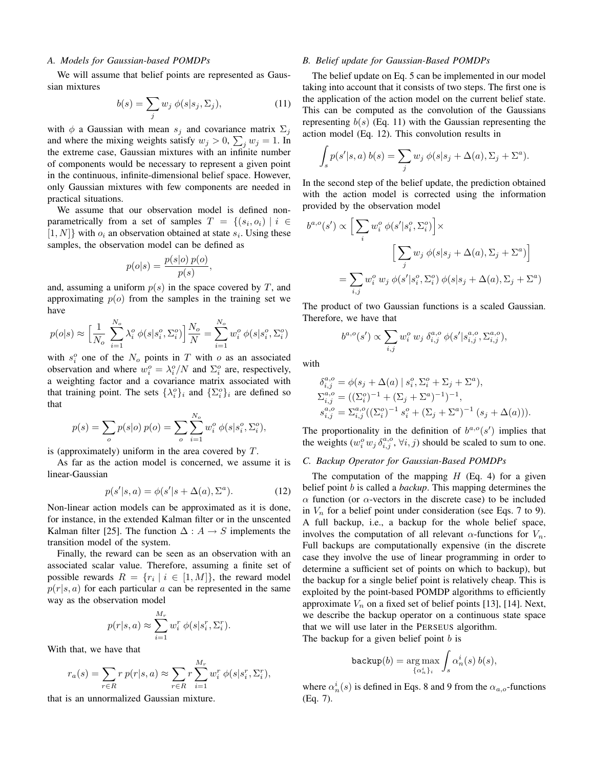## *A. Models for Gaussian-based POMDPs*

We will assume that belief points are represented as Gaussian mixtures

$$
b(s) = \sum_{j} w_j \, \phi(s|s_j, \Sigma_j), \tag{11}
$$

with  $\phi$  a Gaussian with mean  $s_j$  and covariance matrix  $\Sigma_j$ and where the mixing weights satisfy  $w_j > 0$ ,  $\sum_j w_j = 1$ . In the extreme case, Gaussian mixtures with an infinite number of components would be necessary to represent a given point in the continuous, infinite-dimensional belief space. However, only Gaussian mixtures with few components are needed in practical situations.

We assume that our observation model is defined nonparametrically from a set of samples  $T = \{(s_i, o_i) \mid i \in$  $[1, N]$ } with  $o_i$  an observation obtained at state  $s_i$ . Using these samples, the observation model can be defined as

$$
p(o|s) = \frac{p(s|o) p(o)}{p(s)},
$$

and, assuming a uniform  $p(s)$  in the space covered by T, and approximating  $p(o)$  from the samples in the training set we have

$$
p(o|s) \approx \left[\frac{1}{N_o} \sum_{i=1}^{N_o} \lambda_i^o \phi(s|s_i^o, \Sigma_i^o)\right] \frac{N_o}{N} = \sum_{i=1}^{N_o} w_i^o \phi(s|s_i^o, \Sigma_i^o)
$$

with  $s_i^o$  one of the  $N_o$  points in T with  $o$  as an associated observation and where  $w_i^o = \lambda_i^o/N$  and  $\Sigma_i^o$  are, respectively, a weighting factor and a covariance matrix associated with that training point. The sets  $\{\lambda_i^o\}_i$  and  $\{\Sigma_i^o\}_i$  are defined so that

$$
p(s) = \sum_{o} p(s|o) p(o) = \sum_{o} \sum_{i=1}^{N_o} w_i^o \phi(s|s_i^o, \Sigma_i^o),
$$

is (approximately) uniform in the area covered by  $T$ .

As far as the action model is concerned, we assume it is linear-Gaussian

$$
p(s'|s,a) = \phi(s'|s + \Delta(a), \Sigma^a). \tag{12}
$$

Non-linear action models can be approximated as it is done, for instance, in the extended Kalman filter or in the unscented Kalman filter [25]. The function  $\Delta: A \rightarrow S$  implements the transition model of the system.

Finally, the reward can be seen as an observation with an associated scalar value. Therefore, assuming a finite set of possible rewards  $R = \{r_i \mid i \in [1, M]\}$ , the reward model  $p(r|s, a)$  for each particular a can be represented in the same way as the observation model

$$
p(r|s, a) \approx \sum_{i=1}^{M_r} w_i^r \phi(s|s_i^r, \Sigma_i^r).
$$

With that, we have that

$$
r_a(s) = \sum_{r \in R} r p(r|s, a) \approx \sum_{r \in R} r \sum_{i=1}^{M_r} w_i^r \phi(s|s_i^r, \Sigma_i^r),
$$

that is an unnormalized Gaussian mixture.

#### *B. Belief update for Gaussian-Based POMDPs*

The belief update on Eq. 5 can be implemented in our model taking into account that it consists of two steps. The first one is the application of the action model on the current belief state. This can be computed as the convolution of the Gaussians representing  $b(s)$  (Eq. 11) with the Gaussian representing the action model (Eq. 12). This convolution results in

$$
\int_{s} p(s'|s, a) b(s) = \sum_{j} w_j \phi(s|s_j + \Delta(a), \Sigma_j + \Sigma^a).
$$

In the second step of the belief update, the prediction obtained with the action model is corrected using the information provided by the observation model

$$
b^{a,o}(s') \propto \left[\sum_i w_i^o \phi(s'|s_i^o, \Sigma_i^o)\right] \times
$$

$$
\left[\sum_j w_j \phi(s|s_j + \Delta(a), \Sigma_j + \Sigma^a)\right]
$$

$$
= \sum_{i,j} w_i^o w_j \phi(s'|s_i^o, \Sigma_i^o) \phi(s|s_j + \Delta(a), \Sigma_j + \Sigma^a)
$$

The product of two Gaussian functions is a scaled Gaussian. Therefore, we have that

$$
b^{a,o}(s') \propto \sum_{i,j} w_i^o w_j \, \delta_{i,j}^{a,o} \, \phi(s' | s_{i,j}^{a,o}, \Sigma_{i,j}^{a,o}),
$$

with

$$
\delta_{i,j}^{a,o} = \phi(s_j + \Delta(a) | s_i^o, \Sigma_i^o + \Sigma_j + \Sigma^a),
$$
  
\n
$$
\Sigma_{i,j}^{a,o} = ((\Sigma_i^o)^{-1} + (\Sigma_j + \Sigma^a)^{-1})^{-1},
$$
  
\n
$$
s_{i,j}^{a,o} = \Sigma_{i,j}^{a,o}((\Sigma_i^o)^{-1} s_i^o + (\Sigma_j + \Sigma^a)^{-1} (s_j + \Delta(a))).
$$

The proportionality in the definition of  $b^{a,o}(s')$  implies that the weights  $(w_i^o w_j \delta_{i,j}^{a,o}, \forall i, j)$  should be scaled to sum to one.

# *C. Backup Operator for Gaussian-Based POMDPs*

The computation of the mapping  $H$  (Eq. 4) for a given belief point b is called a *backup*. This mapping determines the α function (or α-vectors in the discrete case) to be included in  $V_n$  for a belief point under consideration (see Eqs. 7 to 9). A full backup, i.e., a backup for the whole belief space, involves the computation of all relevant  $\alpha$ -functions for  $V_n$ . Full backups are computationally expensive (in the discrete case they involve the use of linear programming in order to determine a sufficient set of points on which to backup), but the backup for a single belief point is relatively cheap. This is exploited by the point-based POMDP algorithms to efficiently approximate  $V_n$  on a fixed set of belief points [13], [14]. Next, we describe the backup operator on a continuous state space that we will use later in the PERSEUS algorithm.

The backup for a given belief point  $b$  is

$$
\mathtt{backup}(b) = \underset{\{\alpha^i_n\}_i}{\arg\max} \int_s \alpha^i_n(s) \: b(s),
$$

where  $\alpha_n^i(s)$  is defined in Eqs. 8 and 9 from the  $\alpha_{a,o}$ -functions (Eq. 7).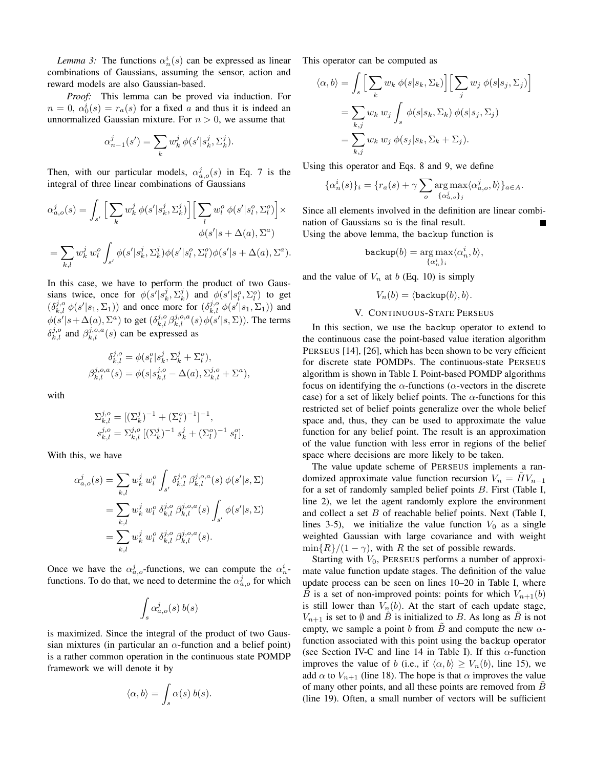*Lemma* 3: The functions  $\alpha_n^i(s)$  can be expressed as linear combinations of Gaussians, assuming the sensor, action and reward models are also Gaussian-based.

*Proof:* This lemma can be proved via induction. For  $n = 0$ ,  $\alpha_0^i(s) = r_a(s)$  for a fixed a and thus it is indeed an unnormalized Gaussian mixture. For  $n > 0$ , we assume that

$$
\alpha_{n-1}^j(s')=\sum_k w_k^j\,\phi(s'|s_k^j,\Sigma_k^j).
$$

Then, with our particular models,  $\alpha_{a,o}^j(s)$  in Eq. 7 is the integral of three linear combinations of Gaussians

$$
\alpha_{a,o}^j(s) = \int_{s'} \Big[ \sum_k w_k^j \phi(s'|s_k^j, \Sigma_k^j) \Big] \Big[ \sum_l w_l^o \phi(s'|s_l^o, \Sigma_l^o) \Big] \times
$$
  

$$
\phi(s'|s + \Delta(a), \Sigma^a)
$$
  

$$
= \sum_{k,l} w_k^j w_l^o \int_{s'} \phi(s'|s_k^j, \Sigma_k^j) \phi(s'|s_l^o, \Sigma_l^o) \phi(s'|s + \Delta(a), \Sigma^a).
$$

In this case, we have to perform the product of two Gaussians twice, once for  $\phi(s'|s_k^j, \Sigma_k^j)$  and  $\phi(s'|s_l^o, \Sigma_l^o)$  to get  $(\delta_{k,l}^{j,o} \phi(s'|s_1, \Sigma_1))$  and once more for  $(\delta_{k,l}^{j,o} \phi(s'|s_1, \Sigma_1))$  and  $\phi(s'|s+\Delta(a),\Sigma^a)$  to get  $(\delta^{j,o}_{k,l}\beta^{j,o,a}_{k,l}(s)\phi(s'|s,\Sigma))$ . The terms  $\delta_{k,l}^{j,o}$  and  $\beta_{k,l}^{j,o,a}(s)$  can be expressed as

$$
\delta_{k,l}^{j,o} = \phi(s_l^o | s_k^j, \Sigma_k^j + \Sigma_l^o), \beta_{k,l}^{j,o,a}(s) = \phi(s | s_{k,l}^{j,o} - \Delta(a), \Sigma_{k,l}^{j,o} + \Sigma^a),
$$

with

$$
\begin{aligned} \Sigma_{k,l}^{j,o} &= [(\Sigma_{k}^{j})^{-1} + (\Sigma_{l}^{o})^{-1}]^{-1}, \\ s_{k,l}^{j,o} &= \Sigma_{k,l}^{j,o} \; [(\Sigma_{k}^{j})^{-1} \; s_{k}^{j} + (\Sigma_{l}^{o})^{-1} \; s_{l}^{o}]. \end{aligned}
$$

With this, we have

$$
\alpha_{a,o}^{j}(s) = \sum_{k,l} w_{k}^{j} w_{l}^{o} \int_{s'} \delta_{k,l}^{j,o} \beta_{k,l}^{j,o,a}(s) \phi(s'|s, \Sigma)
$$
  
= 
$$
\sum_{k,l} w_{k}^{j} w_{l}^{o} \delta_{k,l}^{j,o} \beta_{k,l}^{j,o,a}(s) \int_{s'} \phi(s'|s, \Sigma)
$$
  
= 
$$
\sum_{k,l} w_{k}^{j} w_{l}^{o} \delta_{k,l}^{j,o} \beta_{k,l}^{j,o,a}(s).
$$

Once we have the  $\alpha_{a,o}^j$ -functions, we can compute the  $\alpha_n^i$ functions. To do that, we need to determine the  $\alpha_{a,o}^j$  for which

$$
\int_s \alpha_{a,o}^j(s) \, b(s)
$$

is maximized. Since the integral of the product of two Gaussian mixtures (in particular an  $\alpha$ -function and a belief point) is a rather common operation in the continuous state POMDP framework we will denote it by

$$
\langle \alpha, b \rangle = \int_s \alpha(s) b(s).
$$

This operator can be computed as

$$
\langle \alpha, b \rangle = \int_{s} \Big[ \sum_{k} w_{k} \phi(s|s_{k}, \Sigma_{k}) \Big] \Big[ \sum_{j} w_{j} \phi(s|s_{j}, \Sigma_{j}) \Big]
$$
  
=  $\sum_{k,j} w_{k} w_{j} \int_{s} \phi(s|s_{k}, \Sigma_{k}) \phi(s|s_{j}, \Sigma_{j})$   
=  $\sum_{k,j} w_{k} w_{j} \phi(s_{j}|s_{k}, \Sigma_{k} + \Sigma_{j}).$ 

Using this operator and Eqs. 8 and 9, we define

$$
\{\alpha_n^i(s)\}_i = \{r_a(s) + \gamma \sum_o \operatorname{arg\,max}_{\{\alpha_{a,o}^j\}_j} \langle \alpha_{a,o}^j, b \rangle\}_{a \in A}.
$$

Since all elements involved in the definition are linear combination of Gaussians so is the final result. Using the above lemma, the backup function is

$$
\mathtt{backup}(b) = \underset{\{\alpha_n^i\}_i}{\arg\max} \langle \alpha_n^i, b \rangle,
$$

and the value of  $V_n$  at b (Eq. 10) is simply

$$
V_n(b) = \langle \mathtt{backup}(b), b \rangle.
$$

# V. CONTINUOUS-STATE PERSEUS

In this section, we use the backup operator to extend to the continuous case the point-based value iteration algorithm PERSEUS [14], [26], which has been shown to be very efficient for discrete state POMDPs. The continuous-state PERSEUS algorithm is shown in Table I. Point-based POMDP algorithms focus on identifying the  $\alpha$ -functions ( $\alpha$ -vectors in the discrete case) for a set of likely belief points. The  $\alpha$ -functions for this restricted set of belief points generalize over the whole belief space and, thus, they can be used to approximate the value function for any belief point. The result is an approximation of the value function with less error in regions of the belief space where decisions are more likely to be taken.

The value update scheme of PERSEUS implements a randomized approximate value function recursion  $V_n = HV_{n-1}$ for a set of randomly sampled belief points B. First (Table I, line 2), we let the agent randomly explore the environment and collect a set  $B$  of reachable belief points. Next (Table I, lines 3-5), we initialize the value function  $V_0$  as a single weighted Gaussian with large covariance and with weight  $\min\{R\}/(1-\gamma)$ , with R the set of possible rewards.

Starting with  $V_0$ , PERSEUS performs a number of approximate value function update stages. The definition of the value update process can be seen on lines 10–20 in Table I, where B is a set of non-improved points: points for which  $V_{n+1}(b)$ is still lower than  $V_n(b)$ . At the start of each update stage,  $V_{n+1}$  is set to  $\emptyset$  and  $\overrightarrow{B}$  is initialized to  $B$ . As long as  $\overrightarrow{B}$  is not empty, we sample a point b from B and compute the new  $\alpha$ function associated with this point using the backup operator (see Section IV-C and line 14 in Table I). If this  $\alpha$ -function improves the value of b (i.e., if  $\langle \alpha, b \rangle \ge V_n(b)$ , line 15), we add  $\alpha$  to  $V_{n+1}$  (line 18). The hope is that  $\alpha$  improves the value of many other points, and all these points are removed from  $B$ (line 19). Often, a small number of vectors will be sufficient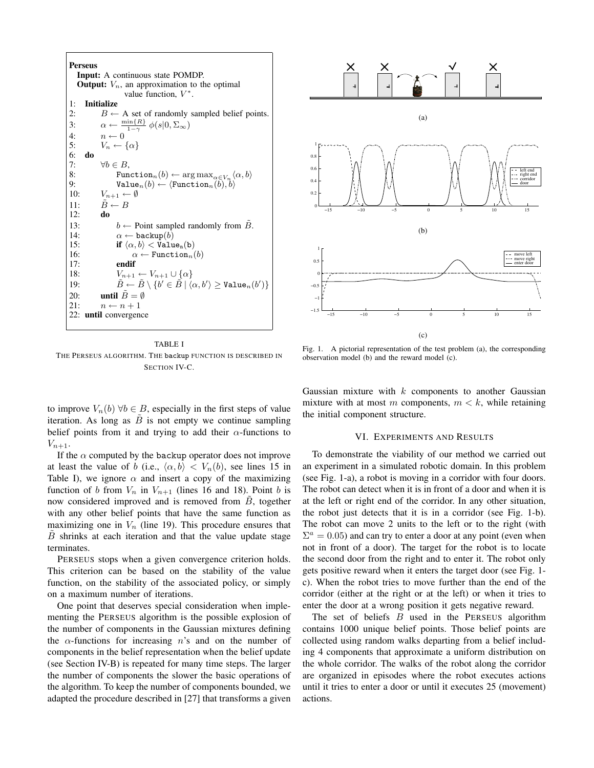**Perseus Input:** A continuous state POMDP. **Output:**  $V_n$ , an approximation to the optimal value function,  $V^*$ . 1: **Initialize**<br>2:  $B \leftarrow$  $B \leftarrow A$  set of randomly sampled belief points. 3:  $\alpha \leftarrow \frac{\min\{R\}}{1-\gamma} \phi(s|0,\Sigma_{\infty})$ 4:  $n \leftarrow 0$ 5:  $V_n \leftarrow \{\alpha\}$ 6: **do** 7:  $\forall b \in B,$ <br>8: Fun 8: Function<sub>n</sub> $(b) \leftarrow \arg \max_{\alpha \in V_n} \langle \alpha, b \rangle$ 9: Value<sub>n</sub> $(b) \leftarrow \langle$ Function<sub>n</sub> $(b), b \rangle$ 10:  $V_{n+1} \leftarrow \emptyset$ 11:  $B \leftarrow B$ 12: **do** 13:  $b \leftarrow$  Point sampled randomly from *B*.<br>14:  $\alpha \leftarrow$  backup(*b*)  $\alpha \leftarrow \texttt{backup}(b)$ 15: **if**  $\langle \alpha, b \rangle <$  Value<sub>n</sub>(b) 16:  $\alpha \leftarrow \text{Function}_n(b)$ <br>17: **endif** 17: **endif** 18:  $V_{n+1} \leftarrow V_{n+1} \cup \{\alpha\}$ 19:  $\tilde{B} \leftarrow \tilde{B} \setminus \{b' \in \tilde{B} \mid \langle \alpha, b' \rangle \geq \mathtt{Value}_n(b')\}$ 20: **until**  $B = \emptyset$ 21:  $n \leftarrow n + 1$ 22: **until** convergence



to improve  $V_n(b)$   $\forall b \in B$ , especially in the first steps of value iteration. As long as  $\ddot{B}$  is not empty we continue sampling belief points from it and trying to add their  $\alpha$ -functions to  $V_{n+1}$ .

If the  $\alpha$  computed by the backup operator does not improve at least the value of b (i.e.,  $\langle \alpha, b \rangle < V_n(b)$ , see lines 15 in Table I), we ignore  $\alpha$  and insert a copy of the maximizing function of b from  $V_n$  in  $V_{n+1}$  (lines 16 and 18). Point b is now considered improved and is removed from  $B$ , together with any other belief points that have the same function as maximizing one in  $V_n$  (line 19). This procedure ensures that  $B$  shrinks at each iteration and that the value update stage terminates.

PERSEUS stops when a given convergence criterion holds. This criterion can be based on the stability of the value function, on the stability of the associated policy, or simply on a maximum number of iterations.

One point that deserves special consideration when implementing the PERSEUS algorithm is the possible explosion of the number of components in the Gaussian mixtures defining the  $\alpha$ -functions for increasing n's and on the number of components in the belief representation when the belief update (see Section IV-B) is repeated for many time steps. The larger the number of components the slower the basic operations of the algorithm. To keep the number of components bounded, we adapted the procedure described in [27] that transforms a given



Fig. 1. A pictorial representation of the test problem (a), the corresponding observation model (b) and the reward model (c).

Gaussian mixture with  $k$  components to another Gaussian mixture with at most m components,  $m < k$ , while retaining the initial component structure.

#### VI. EXPERIMENTS AND RESULTS

To demonstrate the viability of our method we carried out an experiment in a simulated robotic domain. In this problem (see Fig. 1-a), a robot is moving in a corridor with four doors. The robot can detect when it is in front of a door and when it is at the left or right end of the corridor. In any other situation, the robot just detects that it is in a corridor (see Fig. 1-b). The robot can move 2 units to the left or to the right (with  $\Sigma^a = 0.05$ ) and can try to enter a door at any point (even when not in front of a door). The target for the robot is to locate the second door from the right and to enter it. The robot only gets positive reward when it enters the target door (see Fig. 1 c). When the robot tries to move further than the end of the corridor (either at the right or at the left) or when it tries to enter the door at a wrong position it gets negative reward.

The set of beliefs  $B$  used in the PERSEUS algorithm contains 1000 unique belief points. Those belief points are collected using random walks departing from a belief including 4 components that approximate a uniform distribution on the whole corridor. The walks of the robot along the corridor are organized in episodes where the robot executes actions until it tries to enter a door or until it executes 25 (movement) actions.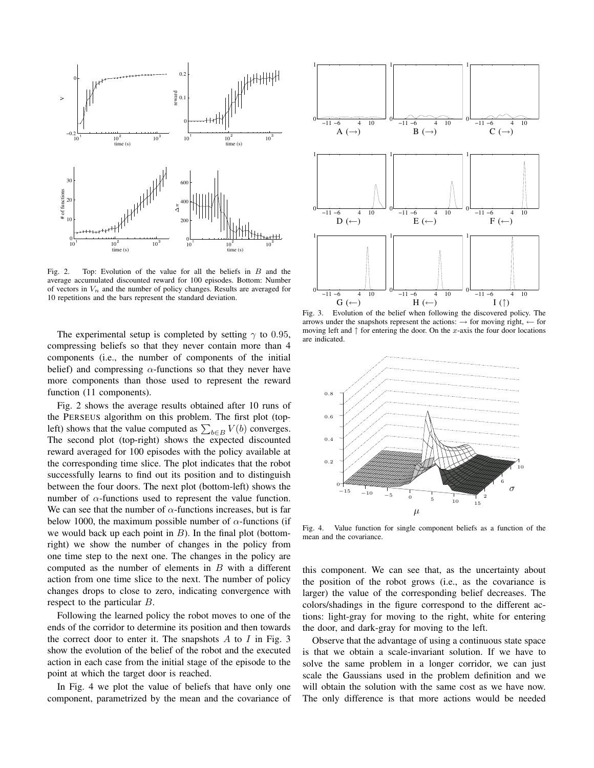$G$  ( $\leftarrow$ )

 $($  $\uparrow$  $)$ 

 $I(\uparrow)$ 



10 repetitions and the bars represent the standard deviation.

The experimental setup is completed by setting  $\gamma$  to 0.95, compressing beliefs so that they never contain more than 4 components (i.e., the number of components of the initial belief) and compressing  $\alpha$ -functions so that they never have more components than those used to represent the reward function (11 components).

Fig. 2 shows the average results obtained after 10 runs of the PERSEUS algorithm on this problem. The first plot (topleft) shows that the value computed as  $\sum_{b \in B} V(b)$  converges. The second plot (top-right) shows the expected discounted reward averaged for 100 episodes with the policy available at the corresponding time slice. The plot indicates that the robot successfully learns to find out its position and to distinguish between the four doors. The next plot (bottom-left) shows the number of  $\alpha$ -functions used to represent the value function. We can see that the number of  $\alpha$ -functions increases, but is far below 1000, the maximum possible number of  $\alpha$ -functions (if we would back up each point in  $B$ ). In the final plot (bottomright) we show the number of changes in the policy from one time step to the next one. The changes in the policy are computed as the number of elements in  $B$  with a different action from one time slice to the next. The number of policy changes drops to close to zero, indicating convergence with respect to the particular B.

Following the learned policy the robot moves to one of the ends of the corridor to determine its position and then towards the correct door to enter it. The snapshots  $A$  to  $I$  in Fig. 3 show the evolution of the belief of the robot and the executed action in each case from the initial stage of the episode to the point at which the target door is reached.

In Fig. 4 we plot the value of beliefs that have only one component, parametrized by the mean and the covariance of

Fig. 3. Evolution of the belief when following the discovered policy. The arrows under the snapshots represent the actions:  $\rightarrow$  for moving right,  $\leftarrow$  for moving left and  $\uparrow$  for entering the door. On the x-axis the four door locations are indicated.

 $H$  (←

 $I(\uparrow)$ 



Fig. 4. Value function for single component beliefs as a function of the mean and the covariance.

this component. We can see that, as the uncertainty about the position of the robot grows (i.e., as the covariance is larger) the value of the corresponding belief decreases. The colors/shadings in the figure correspond to the different actions: light-gray for moving to the right, white for entering the door, and dark-gray for moving to the left.

Observe that the advantage of using a continuous state space is that we obtain a scale-invariant solution. If we have to solve the same problem in a longer corridor, we can just scale the Gaussians used in the problem definition and we will obtain the solution with the same cost as we have now. The only difference is that more actions would be needed